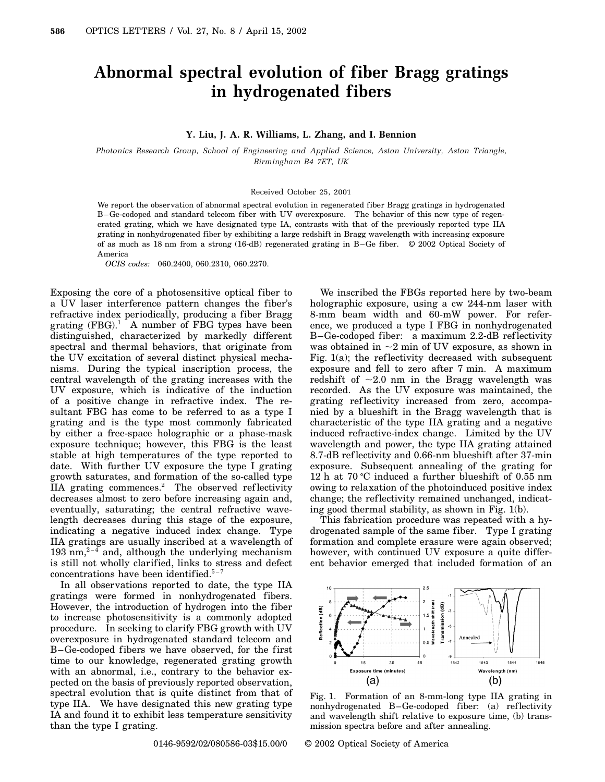## **Abnormal spectral evolution of fiber Bragg gratings in hydrogenated fibers**

## **Y. Liu, J. A. R. Williams, L. Zhang, and I. Bennion**

*Photonics Research Group, School of Engineering and Applied Science, Aston University, Aston Triangle, Birmingham B4 7ET, UK*

## Received October 25, 2001

We report the observation of abnormal spectral evolution in regenerated fiber Bragg gratings in hydrogenated B–Ge-codoped and standard telecom fiber with UV overexposure. The behavior of this new type of regenerated grating, which we have designated type IA, contrasts with that of the previously reported type IIA grating in nonhydrogenated fiber by exhibiting a large redshift in Bragg wavelength with increasing exposure of as much as 18 nm from a strong (16-dB) regenerated grating in B–Ge fiber. © 2002 Optical Society of America

*OCIS codes:* 060.2400, 060.2310, 060.2270.

Exposing the core of a photosensitive optical fiber to a UV laser interference pattern changes the fiber's refractive index periodically, producing a fiber Bragg grating  $(FBG).<sup>1</sup>$  A number of FBG types have been distinguished, characterized by markedly different spectral and thermal behaviors, that originate from the UV excitation of several distinct physical mechanisms. During the typical inscription process, the central wavelength of the grating increases with the UV exposure, which is indicative of the induction of a positive change in refractive index. The resultant FBG has come to be referred to as a type I grating and is the type most commonly fabricated by either a free-space holographic or a phase-mask exposure technique; however, this FBG is the least stable at high temperatures of the type reported to date. With further UV exposure the type I grating growth saturates, and formation of the so-called type IIA grating commences.<sup>2</sup> The observed reflectivity decreases almost to zero before increasing again and, eventually, saturating; the central refractive wavelength decreases during this stage of the exposure, indicating a negative induced index change. Type IIA gratings are usually inscribed at a wavelength of 193 nm,<sup>2-4</sup> and, although the underlying mechanism is still not wholly clarified, links to stress and defect concentrations have been identified. $5-7$ 

In all observations reported to date, the type IIA gratings were formed in nonhydrogenated fibers. However, the introduction of hydrogen into the fiber to increase photosensitivity is a commonly adopted procedure. In seeking to clarify FBG growth with UV overexposure in hydrogenated standard telecom and B–Ge-codoped fibers we have observed, for the first time to our knowledge, regenerated grating growth with an abnormal, i.e., contrary to the behavior expected on the basis of previously reported observation, spectral evolution that is quite distinct from that of type IIA. We have designated this new grating type IA and found it to exhibit less temperature sensitivity than the type I grating.

We inscribed the FBGs reported here by two-beam holographic exposure, using a cw 244-nm laser with 8-mm beam width and 60-mW power. For reference, we produced a type I FBG in nonhydrogenated B–Ge-codoped fiber: a maximum 2.2-dB ref lectivity was obtained in  $\sim$ 2 min of UV exposure, as shown in Fig. 1(a); the reflectivity decreased with subsequent exposure and fell to zero after 7 min. A maximum redshift of  $\sim 2.0$  nm in the Bragg wavelength was recorded. As the UV exposure was maintained, the grating ref lectivity increased from zero, accompanied by a blueshift in the Bragg wavelength that is characteristic of the type IIA grating and a negative induced refractive-index change. Limited by the UV wavelength and power, the type IIA grating attained 8.7-dB ref lectivity and 0.66-nm blueshift after 37-min exposure. Subsequent annealing of the grating for 12 h at  $70^{\circ}$ C induced a further blueshift of 0.55 nm owing to relaxation of the photoinduced positive index change; the reflectivity remained unchanged, indicating good thermal stability, as shown in Fig. 1(b).

This fabrication procedure was repeated with a hydrogenated sample of the same fiber. Type I grating formation and complete erasure were again observed; however, with continued UV exposure a quite different behavior emerged that included formation of an



Fig. 1. Formation of an 8-mm-long type IIA grating in nonhydrogenated B–Ge-codoped fiber: (a) ref lectivity and wavelength shift relative to exposure time, (b) transmission spectra before and after annealing.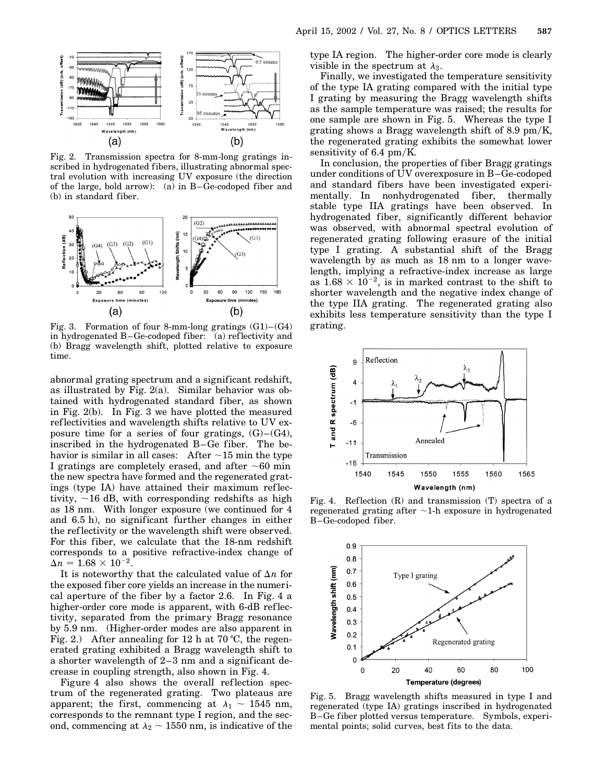

Fig. 2. Transmission spectra for 8-mm-long gratings inscribed in hydrogenated fibers, illustrating abnormal spectral evolution with increasing UV exposure (the direction of the large, bold arrow): (a) in B–Ge-codoped fiber and (b) in standard fiber.



Fig. 3. Formation of four 8-mm-long gratings  $(G1) - (G4)$ in hydrogenated B–Ge-codoped fiber: (a) ref lectivity and (b) Bragg wavelength shift, plotted relative to exposure time.

abnormal grating spectrum and a significant redshift, as illustrated by Fig. 2(a). Similar behavior was obtained with hydrogenated standard fiber, as shown in Fig. 2(b). In Fig. 3 we have plotted the measured reflectivities and wavelength shifts relative to UV exposure time for a series of four gratings,  $(G)$ – $(G4)$ , inscribed in the hydrogenated B–Ge fiber. The behavior is similar in all cases: After  $\sim$ 15 min the type I gratings are completely erased, and after  $\sim 60$  min the new spectra have formed and the regenerated gratings (type IA) have attained their maximum ref lectivity,  $\sim$  16 dB, with corresponding redshifts as high as 18 nm. With longer exposure (we continued for 4 and 6.5 h), no significant further changes in either the ref lectivity or the wavelength shift were observed. For this fiber, we calculate that the 18-nm redshift corresponds to a positive refractive-index change of  $\Delta n = 1.68 \times 10^{-2}$ .

It is noteworthy that the calculated value of  $\Delta n$  for the exposed fiber core yields an increase in the numerical aperture of the fiber by a factor 2.6. In Fig. 4 a higher-order core mode is apparent, with 6-dB reflectivity, separated from the primary Bragg resonance by 5.9 nm. (Higher-order modes are also apparent in Fig. 2.) After annealing for 12 h at 70 °C, the regenerated grating exhibited a Bragg wavelength shift to a shorter wavelength of 2–3 nm and a significant decrease in coupling strength, also shown in Fig. 4.

Figure 4 also shows the overall reflection spectrum of the regenerated grating. Two plateaus are apparent; the first, commencing at  $\lambda_1 \sim 1545$  nm, corresponds to the remnant type I region, and the second, commencing at  $\lambda_2 \sim 1550$  nm, is indicative of the type IA region. The higher-order core mode is clearly visible in the spectrum at  $\lambda_3$ .

Finally, we investigated the temperature sensitivity of the type IA grating compared with the initial type I grating by measuring the Bragg wavelength shifts as the sample temperature was raised; the results for one sample are shown in Fig. 5. Whereas the type I grating shows a Bragg wavelength shift of 8.9 pm/K, the regenerated grating exhibits the somewhat lower sensitivity of  $6.4 \text{ pm/K}.$ 

In conclusion, the properties of fiber Bragg gratings under conditions of UV overexposure in B–Ge-codoped and standard fibers have been investigated experimentally. In nonhydrogenated fiber, thermally stable type IIA gratings have been observed. In hydrogenated fiber, significantly different behavior was observed, with abnormal spectral evolution of regenerated grating following erasure of the initial type I grating. A substantial shift of the Bragg wavelength by as much as 18 nm to a longer wavelength, implying a refractive-index increase as large as  $1.68 \times 10^{-2}$ , is in marked contrast to the shift to shorter wavelength and the negative index change of the type IIA grating. The regenerated grating also exhibits less temperature sensitivity than the type I grating.



Fig. 4. Reflection (R) and transmission (T) spectra of a regenerated grating after  $\sim$ 1-h exposure in hydrogenated B–Ge-codoped fiber.



Fig. 5. Bragg wavelength shifts measured in type I and regenerated (type IA) gratings inscribed in hydrogenated B–Ge fiber plotted versus temperature. Symbols, experimental points; solid curves, best fits to the data.